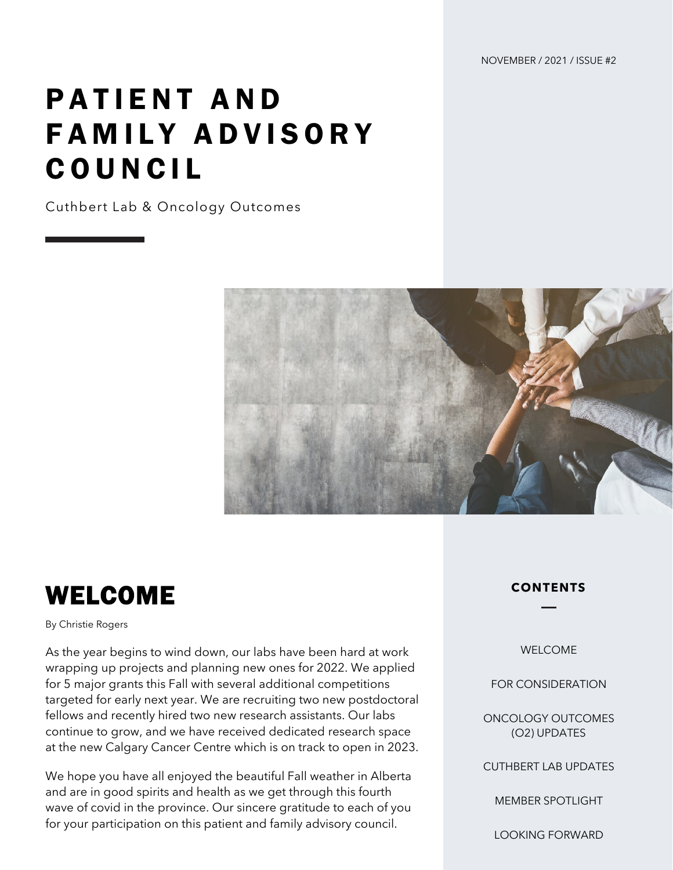NOVEMBER / 2021 / ISSUE #2

# PATIENT AND FAMILY ADVISORY COUNCIL

Cuthbert Lab & Oncology Outcomes



#### WELCOME

#### By Christie Rogers

As the year begins to wind down, our labs have been hard at work wrapping up projects and planning new ones for 2022. We applied for 5 major grants this Fall with several additional competitions targeted for early next year. We are recruiting two new postdoctoral fellows and recently hired two new research assistants. Our labs continue to grow, and we have received dedicated research space at the new Calgary Cancer Centre which is on track to open in 2023.

We hope you have all enjoyed the beautiful Fall weather in Alberta and are in good spirits and health as we get through this fourth wave of covid in the province. Our sincere gratitude to each of you for your participation on this patient and family advisory council.

**CONTENTS**

WELCOME

FOR CONSIDERATION

ONCOLOGY OUTCOMES (O2) UPDATES

CUTHBERT LAB UPDATES

MEMBER SPOTLIGHT

LOOKING FORWARD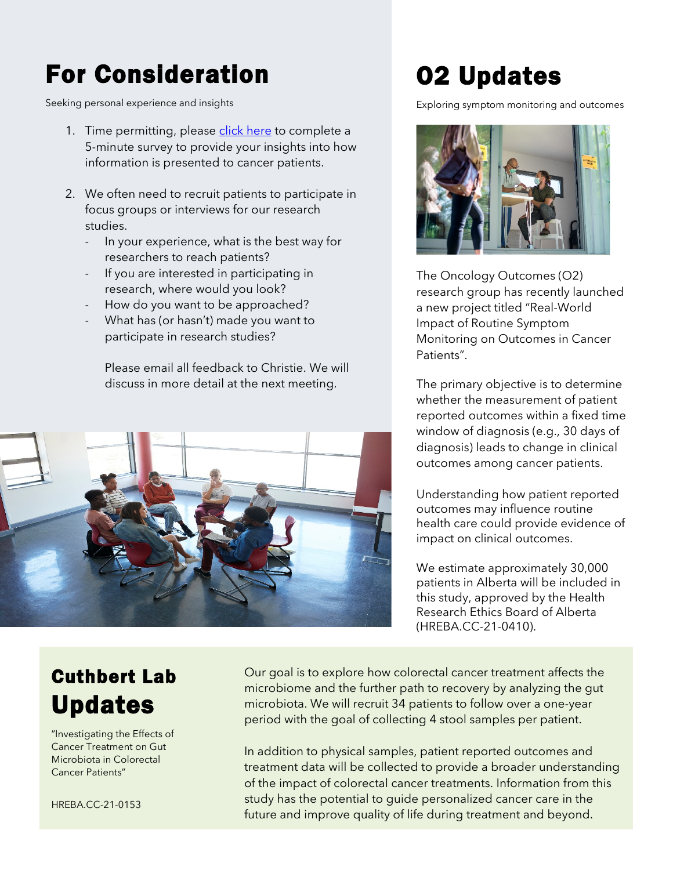## For Consideration

Seeking personal experience and insights

- 1. Time permitting, please [click here](https://survey.ucalgary.ca/jfe/form/SV_8eHl3SZIH1PyfFI) to complete a 5-minute survey to provide your insights into how information is presented to cancer patients.
- 2. We often need to recruit patients to participate in focus groups or interviews for our research studies.
	- In your experience, what is the best way for researchers to reach patients?
	- If you are interested in participating in research, where would you look?
	- How do you want to be approached?
	- What has (or hasn't) made you want to participate in research studies?

Please email all feedback to Christie. We will discuss in more detail at the next meeting.



### O2 Updates

Exploring symptom monitoring and outcomes



The Oncology Outcomes (O2) research group has recently launched a new project titled "Real-World Impact of Routine Symptom Monitoring on Outcomes in Cancer Patients".

The primary objective is to determine whether the measurement of patient reported outcomes within a fixed time window of diagnosis (e.g., 30 days of diagnosis) leads to change in clinical outcomes among cancer patients.

Understanding how patient reported outcomes may influence routine health care could provide evidence of impact on clinical outcomes.

We estimate approximately 30,000 patients in Alberta will be included in this study, approved by the Health Research Ethics Board of Alberta (HREBA.CC-21-0410).

#### Cuthbert Lab Updates

"Investigating the Effects of Cancer Treatment on Gut Microbiota in Colorectal Cancer Patients"

HREBA.CC-21-0153

Our goal is to explore how colorectal cancer treatment affects the microbiome and the further path to recovery by analyzing the gut microbiota. We will recruit 34 patients to follow over a one-year period with the goal of collecting 4 stool samples per patient.

In addition to physical samples, patient reported outcomes and treatment data will be collected to provide a broader understanding of the impact of colorectal cancer treatments. Information from this study has the potential to guide personalized cancer care in the future and improve quality of life during treatment and beyond.